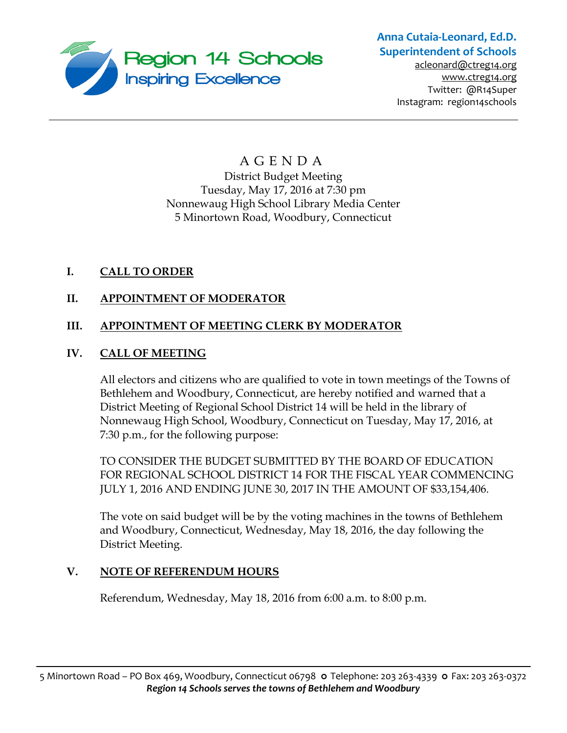

# **Anna Cutaia-Leonard, Ed.D. Superintendent of Schools**

[acleonard@ctreg14.org](mailto:acleonard@ctreg14.org) [www.ctreg14.org](http://www.ctreg14.org/) Twitter: @R14Super Instagram: region14schools

## A G E N D A District Budget Meeting Tuesday, May 17, 2016 at 7:30 pm Nonnewaug High School Library Media Center 5 Minortown Road, Woodbury, Connecticut

## **I. CALL TO ORDER**

## **II. APPOINTMENT OF MODERATOR**

## **III. APPOINTMENT OF MEETING CLERK BY MODERATOR**

### **IV. CALL OF MEETING**

All electors and citizens who are qualified to vote in town meetings of the Towns of Bethlehem and Woodbury, Connecticut, are hereby notified and warned that a District Meeting of Regional School District 14 will be held in the library of Nonnewaug High School, Woodbury, Connecticut on Tuesday, May 17, 2016, at 7:30 p.m., for the following purpose:

TO CONSIDER THE BUDGET SUBMITTED BY THE BOARD OF EDUCATION FOR REGIONAL SCHOOL DISTRICT 14 FOR THE FISCAL YEAR COMMENCING JULY 1, 2016 AND ENDING JUNE 30, 2017 IN THE AMOUNT OF \$33,154,406.

The vote on said budget will be by the voting machines in the towns of Bethlehem and Woodbury, Connecticut, Wednesday, May 18, 2016, the day following the District Meeting.

### **V. NOTE OF REFERENDUM HOURS**

Referendum, Wednesday, May 18, 2016 from 6:00 a.m. to 8:00 p.m.